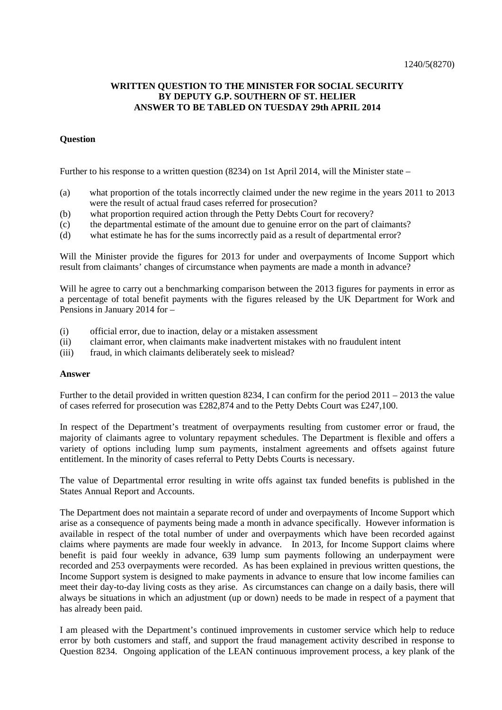## **WRITTEN QUESTION TO THE MINISTER FOR SOCIAL SECURITY BY DEPUTY G.P. SOUTHERN OF ST. HELIER ANSWER TO BE TABLED ON TUESDAY 29th APRIL 2014**

## **Question**

Further to his response to a written question (8234) on 1st April 2014, will the Minister state –

- (a) what proportion of the totals incorrectly claimed under the new regime in the years 2011 to 2013 were the result of actual fraud cases referred for prosecution?
- (b) what proportion required action through the Petty Debts Court for recovery?
- (c) the departmental estimate of the amount due to genuine error on the part of claimants?
- (d) what estimate he has for the sums incorrectly paid as a result of departmental error?

Will the Minister provide the figures for 2013 for under and overpayments of Income Support which result from claimants' changes of circumstance when payments are made a month in advance?

Will he agree to carry out a benchmarking comparison between the 2013 figures for payments in error as a percentage of total benefit payments with the figures released by the UK Department for Work and Pensions in January 2014 for –

- (i) official error, due to inaction, delay or a mistaken assessment
- (ii) claimant error, when claimants make inadvertent mistakes with no fraudulent intent
- (iii) fraud, in which claimants deliberately seek to mislead?

## **Answer**

Further to the detail provided in written question 8234, I can confirm for the period 2011 – 2013 the value of cases referred for prosecution was £282,874 and to the Petty Debts Court was £247,100.

In respect of the Department's treatment of overpayments resulting from customer error or fraud, the majority of claimants agree to voluntary repayment schedules. The Department is flexible and offers a variety of options including lump sum payments, instalment agreements and offsets against future entitlement. In the minority of cases referral to Petty Debts Courts is necessary.

The value of Departmental error resulting in write offs against tax funded benefits is published in the States Annual Report and Accounts.

The Department does not maintain a separate record of under and overpayments of Income Support which arise as a consequence of payments being made a month in advance specifically. However information is available in respect of the total number of under and overpayments which have been recorded against claims where payments are made four weekly in advance. In 2013, for Income Support claims where benefit is paid four weekly in advance, 639 lump sum payments following an underpayment were recorded and 253 overpayments were recorded. As has been explained in previous written questions, the Income Support system is designed to make payments in advance to ensure that low income families can meet their day-to-day living costs as they arise. As circumstances can change on a daily basis, there will always be situations in which an adjustment (up or down) needs to be made in respect of a payment that has already been paid.

I am pleased with the Department's continued improvements in customer service which help to reduce error by both customers and staff, and support the fraud management activity described in response to Question 8234. Ongoing application of the LEAN continuous improvement process, a key plank of the